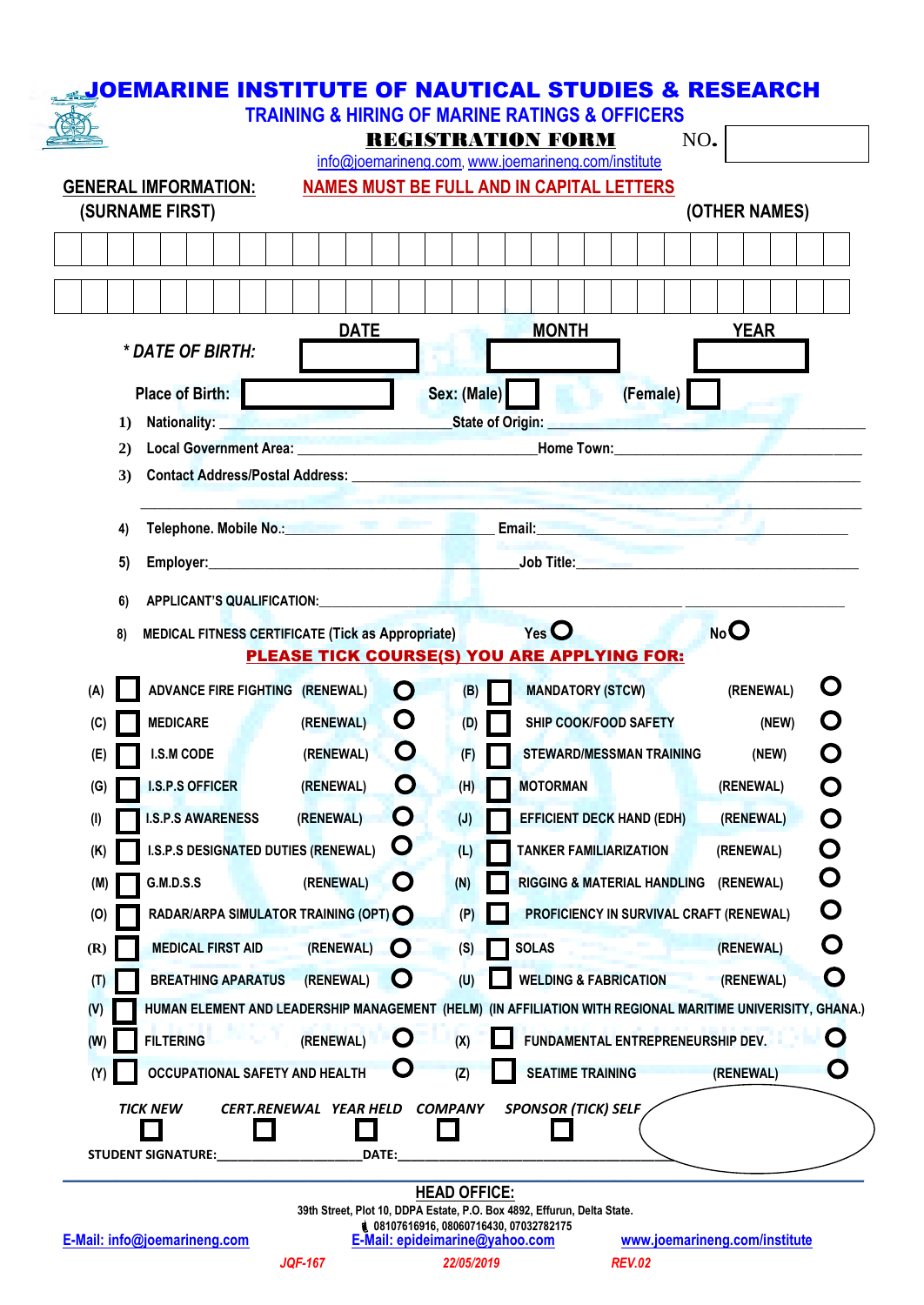|           | <b>GENERAL IMFORMATION:</b>            | <b>NAMES MUST BE FULL AND IN CAPITAL LETTERS</b>                                                                |                    |                                                                                                               |                                            |  |                 |   |
|-----------|----------------------------------------|-----------------------------------------------------------------------------------------------------------------|--------------------|---------------------------------------------------------------------------------------------------------------|--------------------------------------------|--|-----------------|---|
|           | (SURNAME FIRST)                        |                                                                                                                 |                    |                                                                                                               |                                            |  | (OTHER NAMES)   |   |
|           |                                        |                                                                                                                 |                    |                                                                                                               |                                            |  |                 |   |
|           |                                        |                                                                                                                 |                    |                                                                                                               |                                            |  |                 |   |
|           |                                        | <b>DATE</b>                                                                                                     |                    | <b>MONTH</b>                                                                                                  |                                            |  | <b>YEAR</b>     |   |
|           | * DATE OF BIRTH:                       |                                                                                                                 |                    |                                                                                                               |                                            |  |                 |   |
|           | <b>Place of Birth:</b>                 |                                                                                                                 | Sex: (Male)        |                                                                                                               | (Female)                                   |  |                 |   |
| $\bf{1)}$ | Nationality:                           | <b>Material Activity</b>                                                                                        |                    | State of Origin:                                                                                              |                                            |  |                 |   |
| 2)        |                                        | Local Government Area: North Area and Area and Area and Area and Area and Area and Area and Area and Area and A |                    |                                                                                                               |                                            |  |                 |   |
| 3)        |                                        |                                                                                                                 |                    |                                                                                                               |                                            |  |                 |   |
|           |                                        |                                                                                                                 |                    |                                                                                                               |                                            |  |                 |   |
| 4)        |                                        |                                                                                                                 |                    | Telephone. Mobile No.: When the Commission of Basic Commission Commission of the Commission of the Commission |                                            |  |                 |   |
| 5)        |                                        |                                                                                                                 |                    |                                                                                                               |                                            |  |                 |   |
| 6)        |                                        | APPLICANT'S QUALIFICATION: APPLICANT'S QUALIFICATION:                                                           |                    |                                                                                                               |                                            |  |                 |   |
| 8)        |                                        | MEDICAL FITNESS CERTIFICATE (Tick as Appropriate)                                                               |                    | $Yes$ $O$                                                                                                     |                                            |  | No <sup>O</sup> |   |
|           |                                        | PLEASE TICK COURSE(S) YOU ARE APPLYING FOR:                                                                     |                    |                                                                                                               |                                            |  |                 |   |
| (A)       | <b>ADVANCE FIRE FIGHTING (RENEWAL)</b> |                                                                                                                 | $\Omega$<br>(B)    |                                                                                                               | <b>MANDATORY (STCW)</b>                    |  | (RENEWAL)       | O |
| (C)       | <b>MEDICARE</b>                        | (RENEWAL)                                                                                                       | O<br>(D)           |                                                                                                               | <b>SHIP COOK/FOOD SAFETY</b>               |  | (NEW)           |   |
| (E)       | <b>I.S.M CODE</b>                      | (RENEWAL)                                                                                                       | Ö<br>(F)           |                                                                                                               | STEWARD/MESSMAN TRAINING                   |  | (NEW)           |   |
| (G)       | <b>I.S.P.S OFFICER</b>                 | (RENEWAL)                                                                                                       | Ő<br>(H)           | <b>MOTORMAN</b>                                                                                               |                                            |  | (RENEWAL)       | Ö |
| $($ l $)$ | <b>I.S.P.S AWARENESS</b>               | (RENEWAL)                                                                                                       | $\mathbf O$<br>(J) |                                                                                                               | EFFICIENT DECK HAND (EDH)                  |  | (RENEWAL)       | O |
|           | I.S.P.S DESIGNATED DUTIES (RENEWAL)    |                                                                                                                 | $\mathbf O$<br>(L) |                                                                                                               | <b>TANKER FAMILIARIZATION</b><br>(RENEWAL) |  |                 | O |
| (K)       | <b>G.M.D.S.S</b>                       | (RENEWAL)                                                                                                       | O<br>(N)           |                                                                                                               | <b>RIGGING &amp; MATERIAL HANDLING</b>     |  | (RENEWAL)       | O |
| (M)       |                                        | RADAR/ARPA SIMULATOR TRAINING (OPT) C                                                                           | (P)                |                                                                                                               | PROFICIENCY IN SURVIVAL CRAFT (RENEWAL)    |  |                 | O |
| (0)       |                                        |                                                                                                                 |                    |                                                                                                               |                                            |  | (RENEWAL)       | O |
| (R)       | <b>MEDICAL FIRST AID</b>               | (RENEWAL)<br>$\mathbf O$                                                                                        | (S)                | <b>SOLAS</b>                                                                                                  |                                            |  |                 | O |
| (T)       | <b>BREATHING APARATUS</b>              | (RENEWAL)                                                                                                       | $\mathbf C$<br>(U) |                                                                                                               | <b>WELDING &amp; FABRICATION</b>           |  | (RENEWAL)       |   |
| (V)       |                                        | HUMAN ELEMENT AND LEADERSHIP MANAGEMENT (HELM) (IN AFFILIATION WITH REGIONAL MARITIME UNIVERISITY, GHANA.)      |                    |                                                                                                               |                                            |  |                 |   |
| (W)       | <b>FILTERING</b>                       | (RENEWAL)                                                                                                       | Ö<br>(X)           |                                                                                                               | FUNDAMENTAL ENTREPRENEURSHIP DEV.          |  |                 | Ö |
| (Y)       | <b>OCCUPATIONAL SAFETY AND HEALTH</b>  |                                                                                                                 | Ő<br>(Z)           |                                                                                                               | <b>SEATIME TRAINING</b>                    |  | (RENEWAL)       | O |

*JQF-167 22/05/2019 REV.02*

**08107616916, 08060716430, 07032782175**